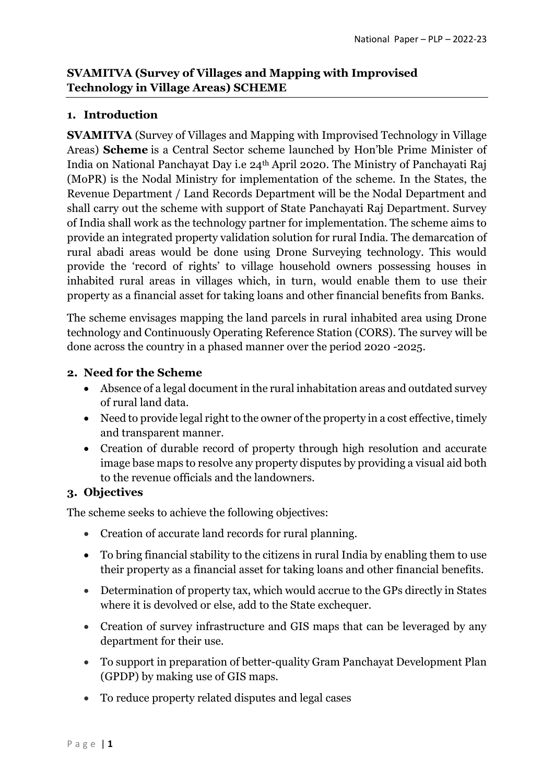# **SVAMITVA (Survey of Villages and Mapping with Improvised Technology in Village Areas) SCHEME**

## **1. Introduction**

**SVAMITVA** (Survey of Villages and Mapping with Improvised Technology in Village Areas) **Scheme** is a Central Sector scheme launched by Hon'ble Prime Minister of India on National Panchayat Day i.e 24th April 2020. The Ministry of Panchayati Raj (MoPR) is the Nodal Ministry for implementation of the scheme. In the States, the Revenue Department / Land Records Department will be the Nodal Department and shall carry out the scheme with support of State Panchayati Raj Department. Survey of India shall work as the technology partner for implementation. The scheme aims to provide an integrated property validation solution for rural India. The demarcation of rural abadi areas would be done using Drone Surveying technology. This would provide the 'record of rights' to village household owners possessing houses in inhabited rural areas in villages which, in turn, would enable them to use their property as a financial asset for taking loans and other financial benefits from Banks.

The scheme envisages mapping the land parcels in rural inhabited area using Drone technology and Continuously Operating Reference Station (CORS). The survey will be done across the country in a phased manner over the period 2020 -2025.

## **2. Need for the Scheme**

- Absence of a legal document in the rural inhabitation areas and outdated survey of rural land data.
- Need to provide legal right to the owner of the property in a cost effective, timely and transparent manner.
- Creation of durable record of property through high resolution and accurate image base maps to resolve any property disputes by providing a visual aid both to the revenue officials and the landowners.

# **3. Objectives**

The scheme seeks to achieve the following objectives:

- Creation of accurate land records for rural planning.
- To bring financial stability to the citizens in rural India by enabling them to use their property as a financial asset for taking loans and other financial benefits.
- Determination of property tax, which would accrue to the GPs directly in States where it is devolved or else, add to the State exchequer.
- Creation of survey infrastructure and GIS maps that can be leveraged by any department for their use.
- To support in preparation of better-quality Gram Panchayat Development Plan (GPDP) by making use of GIS maps.
- To reduce property related disputes and legal cases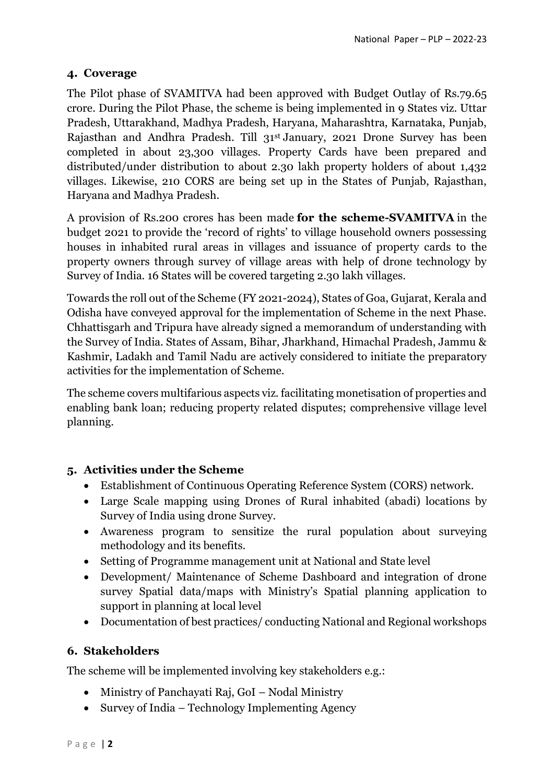### **4. Coverage**

The Pilot phase of SVAMITVA had been approved with Budget Outlay of Rs.79.65 crore. During the Pilot Phase, the scheme is being implemented in 9 States viz. Uttar Pradesh, Uttarakhand, Madhya Pradesh, Haryana, Maharashtra, Karnataka, Punjab, Rajasthan and Andhra Pradesh. Till 31st January, 2021 Drone Survey has been completed in about 23,300 villages. Property Cards have been prepared and distributed/under distribution to about 2.30 lakh property holders of about 1,432 villages. Likewise, 210 CORS are being set up in the States of Punjab, Rajasthan, Haryana and Madhya Pradesh.

A provision of Rs.200 crores has been made **for the scheme-SVAMITVA** in the budget 2021 to provide the 'record of rights' to village household owners possessing houses in inhabited rural areas in villages and issuance of property cards to the property owners through survey of village areas with help of drone technology by Survey of India. 16 States will be covered targeting 2.30 lakh villages.

Towards the roll out of the Scheme (FY 2021-2024), States of Goa, Gujarat, Kerala and Odisha have conveyed approval for the implementation of Scheme in the next Phase. Chhattisgarh and Tripura have already signed a memorandum of understanding with the Survey of India. States of Assam, Bihar, Jharkhand, Himachal Pradesh, Jammu & Kashmir, Ladakh and Tamil Nadu are actively considered to initiate the preparatory activities for the implementation of Scheme.

The scheme covers multifarious aspects viz. facilitating monetisation of properties and enabling bank loan; reducing property related disputes; comprehensive village level planning.

## **5. Activities under the Scheme**

- Establishment of Continuous Operating Reference System (CORS) network.
- Large Scale mapping using Drones of Rural inhabited (abadi) locations by Survey of India using drone Survey.
- Awareness program to sensitize the rural population about surveying methodology and its benefits.
- Setting of Programme management unit at National and State level
- Development/ Maintenance of Scheme Dashboard and integration of drone survey Spatial data/maps with Ministry's Spatial planning application to support in planning at local level
- Documentation of best practices/ conducting National and Regional workshops

## **6. Stakeholders**

The scheme will be implemented involving key stakeholders e.g.:

- Ministry of Panchayati Raj, GoI Nodal Ministry
- Survey of India Technology Implementing Agency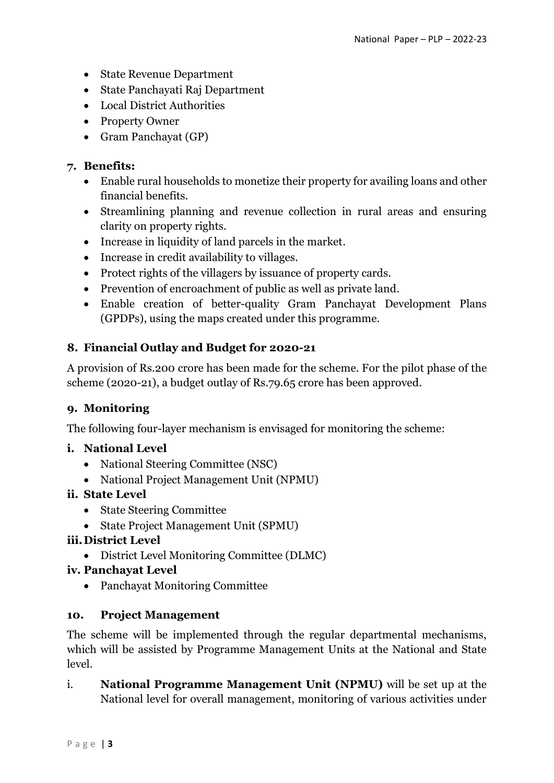- State Revenue Department
- State Panchayati Raj Department
- Local District Authorities
- Property Owner
- Gram Panchayat (GP)

### **7. Benefits:**

- Enable rural households to monetize their property for availing loans and other financial benefits.
- Streamlining planning and revenue collection in rural areas and ensuring clarity on property rights.
- Increase in liquidity of land parcels in the market.
- Increase in credit availability to villages.
- Protect rights of the villagers by issuance of property cards.
- Prevention of encroachment of public as well as private land.
- Enable creation of better-quality Gram Panchayat Development Plans (GPDPs), using the maps created under this programme.

## **8. Financial Outlay and Budget for 2020-21**

A provision of Rs.200 crore has been made for the scheme. For the pilot phase of the scheme (2020-21), a budget outlay of Rs.79.65 crore has been approved.

## **9. Monitoring**

The following four-layer mechanism is envisaged for monitoring the scheme:

### **i. National Level**

- National Steering Committee (NSC)
- National Project Management Unit (NPMU)

## **ii. State Level**

- State Steering Committee
- State Project Management Unit (SPMU)

## **iii.District Level**

District Level Monitoring Committee (DLMC)

### **iv. Panchayat Level**

Panchayat Monitoring Committee

### **10. Project Management**

The scheme will be implemented through the regular departmental mechanisms, which will be assisted by Programme Management Units at the National and State level.

i. **National Programme Management Unit (NPMU)** will be set up at the National level for overall management, monitoring of various activities under